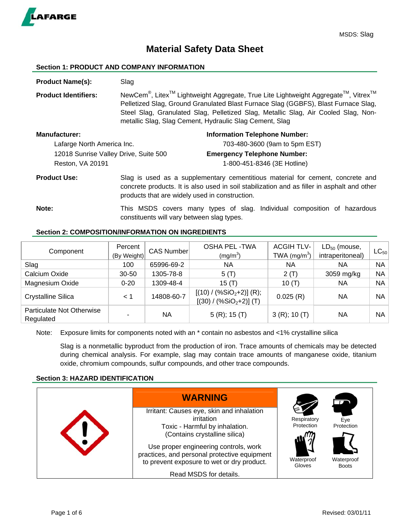

# **Material Safety Data Sheet**

#### **Section 1: PRODUCT AND COMPANY INFORMATION**

**Product Name(s):** Slag **Product Identifiers:** NewCem<sup>®</sup>, Litex<sup>™</sup> Lightweight Aggregate, True Lite Lightweight Aggregate<sup>™</sup>, Vitrex<sup>™</sup> Pelletized Slag, Ground Granulated Blast Furnace Slag (GGBFS), Blast Furnace Slag, Steel Slag, Granulated Slag, Pelletized Slag, Metallic Slag, Air Cooled Slag, Nonmetallic Slag, Slag Cement, Hydraulic Slag Cement, Slag **Manufacturer: Information Telephone Number: Information Telephone Number:** Lafarge North America Inc. 703-480-3600 (9am to 5pm EST) 12018 Sunrise Valley Drive, Suite 500 **Emergency Telephone Number:**  Reston, VA 20191 1-800-451-8346 (3E Hotline) **Product Use:** Slag is used as a supplementary cementitious material for cement, concrete and concrete products. It is also used in soil stabilization and as filler in asphalt and other products that are widely used in construction.

**Note:** This MSDS covers many types of slag. Individual composition of hazardous constituents will vary between slag types.

## **Section 2: COMPOSITION/INFORMATION ON INGREDIENTS**

| Component                              | Percent<br>(By Weight) | <b>CAS Number</b> | <b>OSHA PEL-TWA</b><br>(mg/m <sup>3</sup> )             | <b>ACGIHTLV-</b><br>TWA $(mg/m3)$ | $LD_{50}$ (mouse,<br>intraperitoneal) | $\mathsf{LC}_{50}$ |
|----------------------------------------|------------------------|-------------------|---------------------------------------------------------|-----------------------------------|---------------------------------------|--------------------|
| Slag                                   | 100                    | 65996-69-2        | ΝA                                                      | NА                                | ΝA                                    | <b>NA</b>          |
| Calcium Oxide                          | $30 - 50$              | 1305-78-8         | $5($ T)                                                 | 2(T)                              | 3059 mg/kg                            | ΝA                 |
| Magnesium Oxide                        | $0 - 20$               | 1309-48-4         | 15 (T)                                                  | 10(T)                             | <b>NA</b>                             | NA                 |
| <b>Crystalline Silica</b>              | < 1                    | 14808-60-7        | $[(10) / (\%SiO2+2)]$ (R);<br>$[(30) / (\%SiO2+2)]$ (T) | 0.025(R)                          | ΝA                                    | NA                 |
| Particulate Not Otherwise<br>Regulated |                        | ΝA                | $5(R)$ ; 15 $(T)$                                       | $3(R)$ ; 10 (T)                   | NA.                                   | NА                 |

Note: Exposure limits for components noted with an  $*$  contain no asbestos and <1% crystalline silica

Slag is a nonmetallic byproduct from the production of iron. Trace amounts of chemicals may be detected during chemical analysis. For example, slag may contain trace amounts of manganese oxide, titanium oxide, chromium compounds, sulfur compounds, and other trace compounds.

## **Section 3: HAZARD IDENTIFICATION**

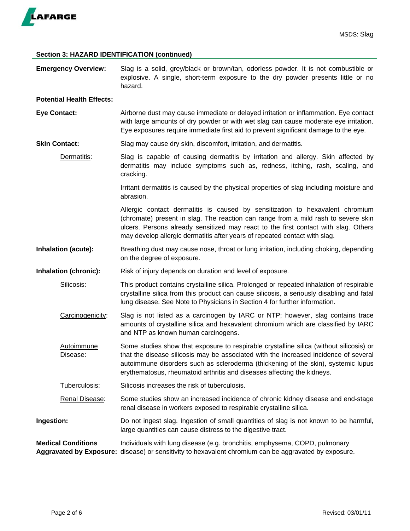

## **Section 3: HAZARD IDENTIFICATION (continued)**

| <b>Emergency Overview:</b>       | Slag is a solid, grey/black or brown/tan, odorless powder. It is not combustible or<br>explosive. A single, short-term exposure to the dry powder presents little or no<br>hazard.                                                                                                                                                              |  |  |
|----------------------------------|-------------------------------------------------------------------------------------------------------------------------------------------------------------------------------------------------------------------------------------------------------------------------------------------------------------------------------------------------|--|--|
| <b>Potential Health Effects:</b> |                                                                                                                                                                                                                                                                                                                                                 |  |  |
| <b>Eye Contact:</b>              | Airborne dust may cause immediate or delayed irritation or inflammation. Eye contact<br>with large amounts of dry powder or with wet slag can cause moderate eye irritation.<br>Eye exposures require immediate first aid to prevent significant damage to the eye.                                                                             |  |  |
| <b>Skin Contact:</b>             | Slag may cause dry skin, discomfort, irritation, and dermatitis.                                                                                                                                                                                                                                                                                |  |  |
| Dermatitis:                      | Slag is capable of causing dermatitis by irritation and allergy. Skin affected by<br>dermatitis may include symptoms such as, redness, itching, rash, scaling, and<br>cracking.                                                                                                                                                                 |  |  |
|                                  | Irritant dermatitis is caused by the physical properties of slag including moisture and<br>abrasion.                                                                                                                                                                                                                                            |  |  |
|                                  | Allergic contact dermatitis is caused by sensitization to hexavalent chromium<br>(chromate) present in slag. The reaction can range from a mild rash to severe skin<br>ulcers. Persons already sensitized may react to the first contact with slag. Others<br>may develop allergic dermatitis after years of repeated contact with slag.        |  |  |
| Inhalation (acute):              | Breathing dust may cause nose, throat or lung irritation, including choking, depending<br>on the degree of exposure.                                                                                                                                                                                                                            |  |  |
| Inhalation (chronic):            | Risk of injury depends on duration and level of exposure.                                                                                                                                                                                                                                                                                       |  |  |
| Silicosis:                       | This product contains crystalline silica. Prolonged or repeated inhalation of respirable<br>crystalline silica from this product can cause silicosis, a seriously disabling and fatal<br>lung disease. See Note to Physicians in Section 4 for further information.                                                                             |  |  |
| Carcinogenicity:                 | Slag is not listed as a carcinogen by IARC or NTP; however, slag contains trace<br>amounts of crystalline silica and hexavalent chromium which are classified by IARC<br>and NTP as known human carcinogens.                                                                                                                                    |  |  |
| Autoimmune<br>Disease:           | Some studies show that exposure to respirable crystalline silica (without silicosis) or<br>that the disease silicosis may be associated with the increased incidence of several<br>autoimmune disorders such as scleroderma (thickening of the skin), systemic lupus<br>erythematosus, rheumatoid arthritis and diseases affecting the kidneys. |  |  |
| Tuberculosis:                    | Silicosis increases the risk of tuberculosis.                                                                                                                                                                                                                                                                                                   |  |  |
| Renal Disease:                   | Some studies show an increased incidence of chronic kidney disease and end-stage<br>renal disease in workers exposed to respirable crystalline silica.                                                                                                                                                                                          |  |  |
| Ingestion:                       | Do not ingest slag. Ingestion of small quantities of slag is not known to be harmful,<br>large quantities can cause distress to the digestive tract.                                                                                                                                                                                            |  |  |
| <b>Medical Conditions</b>        | Individuals with lung disease (e.g. bronchitis, emphysema, COPD, pulmonary<br>Aggravated by Exposure: disease) or sensitivity to hexavalent chromium can be aggravated by exposure.                                                                                                                                                             |  |  |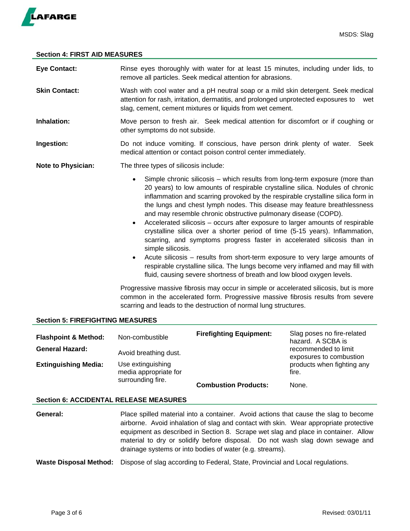

#### **Section 4: FIRST AID MEASURES**

| <b>Eye Contact:</b>       | Rinse eyes thoroughly with water for at least 15 minutes, including under lids, to<br>remove all particles. Seek medical attention for abrasions.                                                                                                                                                                                                                                                                                                                                                                                                                                                                                                                                                                                                                                                                                                                                                                                                 |  |  |
|---------------------------|---------------------------------------------------------------------------------------------------------------------------------------------------------------------------------------------------------------------------------------------------------------------------------------------------------------------------------------------------------------------------------------------------------------------------------------------------------------------------------------------------------------------------------------------------------------------------------------------------------------------------------------------------------------------------------------------------------------------------------------------------------------------------------------------------------------------------------------------------------------------------------------------------------------------------------------------------|--|--|
| <b>Skin Contact:</b>      | Wash with cool water and a pH neutral soap or a mild skin detergent. Seek medical<br>attention for rash, irritation, dermatitis, and prolonged unprotected exposures to<br>wet<br>slag, cement, cement mixtures or liquids from wet cement.                                                                                                                                                                                                                                                                                                                                                                                                                                                                                                                                                                                                                                                                                                       |  |  |
| Inhalation:               | Move person to fresh air. Seek medical attention for discomfort or if coughing or<br>other symptoms do not subside.                                                                                                                                                                                                                                                                                                                                                                                                                                                                                                                                                                                                                                                                                                                                                                                                                               |  |  |
| Ingestion:                | Do not induce vomiting. If conscious, have person drink plenty of water.<br>Seek<br>medical attention or contact poison control center immediately.                                                                                                                                                                                                                                                                                                                                                                                                                                                                                                                                                                                                                                                                                                                                                                                               |  |  |
| <b>Note to Physician:</b> | The three types of silicosis include:                                                                                                                                                                                                                                                                                                                                                                                                                                                                                                                                                                                                                                                                                                                                                                                                                                                                                                             |  |  |
|                           | Simple chronic silicosis – which results from long-term exposure (more than<br>$\bullet$<br>20 years) to low amounts of respirable crystalline silica. Nodules of chronic<br>inflammation and scarring provoked by the respirable crystalline silica form in<br>the lungs and chest lymph nodes. This disease may feature breathlessness<br>and may resemble chronic obstructive pulmonary disease (COPD).<br>Accelerated silicosis - occurs after exposure to larger amounts of respirable<br>$\bullet$<br>crystalline silica over a shorter period of time (5-15 years). Inflammation,<br>scarring, and symptoms progress faster in accelerated silicosis than in<br>simple silicosis.<br>Acute silicosis – results from short-term exposure to very large amounts of<br>$\bullet$<br>respirable crystalline silica. The lungs become very inflamed and may fill with<br>fluid, causing severe shortness of breath and low blood oxygen levels. |  |  |
|                           | Progressive massive fibrosis may occur in simple or accelerated silicosis, but is more<br>common in the accelerated form. Progressive massive fibrosis results from severe<br>scarring and leads to the destruction of normal lung structures.                                                                                                                                                                                                                                                                                                                                                                                                                                                                                                                                                                                                                                                                                                    |  |  |

#### **Section 5: FIREFIGHTING MEASURES**

| <b>Flashpoint &amp; Method:</b><br><b>General Hazard:</b>                                      | Non-combustible<br>Avoid breathing dust. | <b>Firefighting Equipment:</b> | Slag poses no fire-related<br>hazard. A SCBA is<br>recommended to limit<br>exposures to combustion |
|------------------------------------------------------------------------------------------------|------------------------------------------|--------------------------------|----------------------------------------------------------------------------------------------------|
| <b>Extinguishing Media:</b><br>Use extinguishing<br>media appropriate for<br>surrounding fire. |                                          | <b>Combustion Products:</b>    | products when fighting any<br>fire.<br>None.                                                       |

## **Section 6: ACCIDENTAL RELEASE MEASURES**

- **General:** Place spilled material into a container. Avoid actions that cause the slag to become airborne. Avoid inhalation of slag and contact with skin. Wear appropriate protective equipment as described in Section 8. Scrape wet slag and place in container. Allow material to dry or solidify before disposal. Do not wash slag down sewage and drainage systems or into bodies of water (e.g. streams).
- **Waste Disposal Method:** Dispose of slag according to Federal, State, Provincial and Local regulations.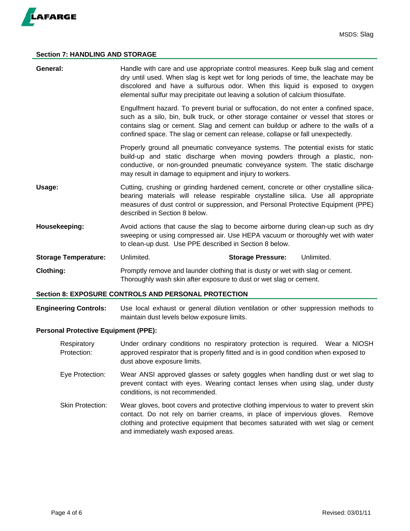

#### **Section 7: HANDLING AND STORAGE**

| General:                    | Handle with care and use appropriate control measures. Keep bulk slag and cement<br>dry until used. When slag is kept wet for long periods of time, the leachate may be<br>discolored and have a sulfurous odor. When this liquid is exposed to oxygen<br>elemental sulfur may precipitate out leaving a solution of calcium thiosulfate.         |                          |            |  |
|-----------------------------|---------------------------------------------------------------------------------------------------------------------------------------------------------------------------------------------------------------------------------------------------------------------------------------------------------------------------------------------------|--------------------------|------------|--|
|                             | Engulfment hazard. To prevent burial or suffocation, do not enter a confined space,<br>such as a silo, bin, bulk truck, or other storage container or vessel that stores or<br>contains slag or cement. Slag and cement can buildup or adhere to the walls of a<br>confined space. The slag or cement can release, collapse or fall unexpectedly. |                          |            |  |
|                             | Properly ground all pneumatic conveyance systems. The potential exists for static<br>build-up and static discharge when moving powders through a plastic, non-<br>conductive, or non-grounded pneumatic conveyance system. The static discharge<br>may result in damage to equipment and injury to workers.                                       |                          |            |  |
| Usage:                      | Cutting, crushing or grinding hardened cement, concrete or other crystalline silica-<br>bearing materials will release respirable crystalline silica. Use all appropriate<br>measures of dust control or suppression, and Personal Protective Equipment (PPE)<br>described in Section 8 below.                                                    |                          |            |  |
| Housekeeping:               | Avoid actions that cause the slag to become airborne during clean-up such as dry<br>sweeping or using compressed air. Use HEPA vacuum or thoroughly wet with water<br>to clean-up dust. Use PPE described in Section 8 below.                                                                                                                     |                          |            |  |
| <b>Storage Temperature:</b> | Unlimited.                                                                                                                                                                                                                                                                                                                                        | <b>Storage Pressure:</b> | Unlimited. |  |
| <b>Clothing:</b>            | Promptly remove and launder clothing that is dusty or wet with slag or cement.<br>Thoroughly wash skin after exposure to dust or wet slag or cement.                                                                                                                                                                                              |                          |            |  |

#### **Section 8: EXPOSURE CONTROLS AND PERSONAL PROTECTION**

**Engineering Controls:** Use local exhaust or general dilution ventilation or other suppression methods to maintain dust levels below exposure limits.

#### **Personal Protective Equipment (PPE):**

- Respiratory Under ordinary conditions no respiratory protection is required. Wear a NIOSH Protection: approved respirator that is properly fitted and is in good condition when exposed to dust above exposure limits.
- Eye Protection: Wear ANSI approved glasses or safety goggles when handling dust or wet slag to prevent contact with eyes. Wearing contact lenses when using slag, under dusty conditions, is not recommended.
- Skin Protection: Wear gloves, boot covers and protective clothing impervious to water to prevent skin contact. Do not rely on barrier creams, in place of impervious gloves. Remove clothing and protective equipment that becomes saturated with wet slag or cement and immediately wash exposed areas.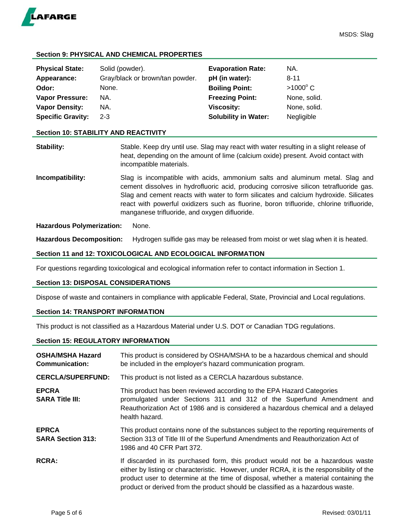

## **Section 9: PHYSICAL AND CHEMICAL PROPERTIES**

| <b>Physical State:</b>   | Solid (powder).                 | <b>Evaporation Rate:</b>    | NA.             |
|--------------------------|---------------------------------|-----------------------------|-----------------|
| Appearance:              | Gray/black or brown/tan powder. | pH (in water):              | 8-11            |
| Odor:                    | None.                           | <b>Boiling Point:</b>       | $>1000^\circ$ C |
| <b>Vapor Pressure:</b>   | NA.                             | <b>Freezing Point:</b>      | None, solid.    |
| <b>Vapor Density:</b>    | NA.                             | <b>Viscosity:</b>           | None, solid.    |
| <b>Specific Gravity:</b> | $2 - 3$                         | <b>Solubility in Water:</b> | Negligible      |

#### **Section 10: STABILITY AND REACTIVITY**

**Stability:** Stable. Keep dry until use. Slag may react with water resulting in a slight release of heat, depending on the amount of lime (calcium oxide) present. Avoid contact with incompatible materials.

**Incompatibility:** Slag is incompatible with acids, ammonium salts and aluminum metal. Slag and cement dissolves in hydrofluoric acid, producing corrosive silicon tetrafluoride gas. Slag and cement reacts with water to form silicates and calcium hydroxide. Silicates react with powerful oxidizers such as fluorine, boron trifluoride, chlorine trifluoride, manganese trifluoride, and oxygen difluoride.

#### **Hazardous Polymerization:** None.

**Hazardous Decomposition:** Hydrogen sulfide gas may be released from moist or wet slag when it is heated.

#### **Section 11 and 12: TOXICOLOGICAL AND ECOLOGICAL INFORMATION**

For questions regarding toxicological and ecological information refer to contact information in Section 1.

## **Section 13: DISPOSAL CONSIDERATIONS**

Dispose of waste and containers in compliance with applicable Federal, State, Provincial and Local regulations.

## **Section 14: TRANSPORT INFORMATION**

This product is not classified as a Hazardous Material under U.S. DOT or Canadian TDG regulations.

## **Section 15: REGULATORY INFORMATION**

| <b>OSHA/MSHA Hazard</b><br><b>Communication:</b> | This product is considered by OSHA/MSHA to be a hazardous chemical and should<br>be included in the employer's hazard communication program.                                                                                                                                                                                                           |  |  |
|--------------------------------------------------|--------------------------------------------------------------------------------------------------------------------------------------------------------------------------------------------------------------------------------------------------------------------------------------------------------------------------------------------------------|--|--|
| <b>CERCLA/SUPERFUND:</b>                         | This product is not listed as a CERCLA hazardous substance.                                                                                                                                                                                                                                                                                            |  |  |
| <b>EPCRA</b><br><b>SARA Title III:</b>           | This product has been reviewed according to the EPA Hazard Categories<br>promulgated under Sections 311 and 312 of the Superfund Amendment and<br>Reauthorization Act of 1986 and is considered a hazardous chemical and a delayed<br>health hazard.                                                                                                   |  |  |
| <b>EPRCA</b><br><b>SARA Section 313:</b>         | This product contains none of the substances subject to the reporting requirements of<br>Section 313 of Title III of the Superfund Amendments and Reauthorization Act of<br>1986 and 40 CFR Part 372.                                                                                                                                                  |  |  |
| <b>RCRA:</b>                                     | If discarded in its purchased form, this product would not be a hazardous waste<br>either by listing or characteristic. However, under RCRA, it is the responsibility of the<br>product user to determine at the time of disposal, whether a material containing the<br>product or derived from the product should be classified as a hazardous waste. |  |  |